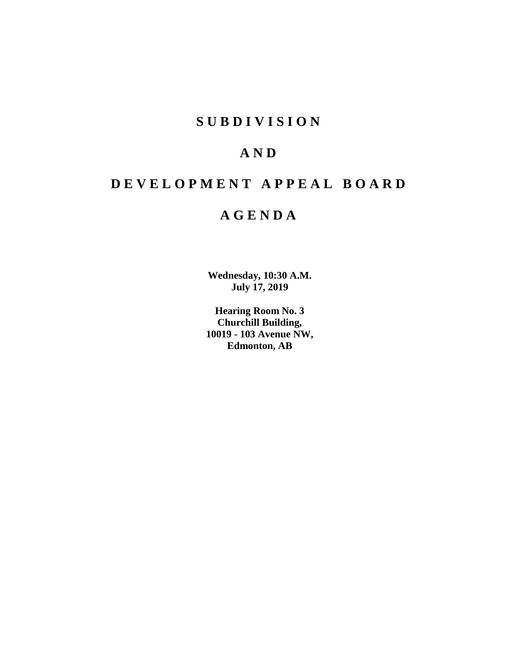## **SUBDIVISION**

# **AND**

# **DEVELOPMENT APPEAL BOARD**

## **AGENDA**

**Wednesday, 10:30 A.M. July 17, 2019**

**Hearing Room No. 3 Churchill Building, 10019 - 103 Avenue NW, Edmonton, AB**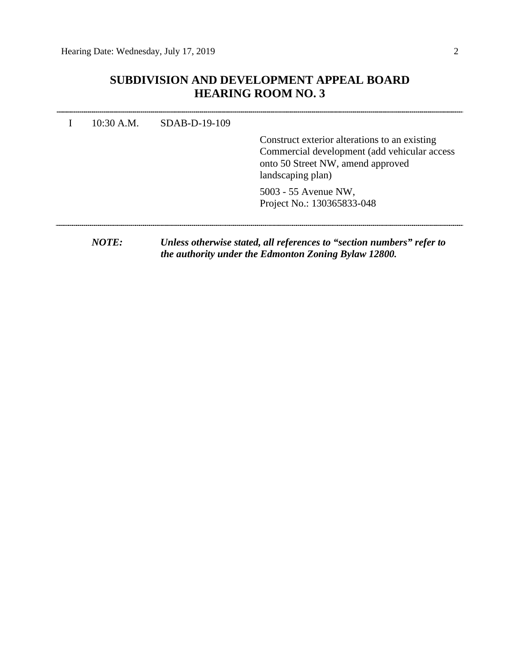### **SUBDIVISION AND DEVELOPMENT APPEAL BOARD HEARING ROOM NO. 3**

| $10:30$ A.M. | $SDAB-D-19-109$ | Construct exterior alterations to an existing<br>Commercial development (add vehicular access<br>onto 50 Street NW, amend approved<br>landscaping plan) |
|--------------|-----------------|---------------------------------------------------------------------------------------------------------------------------------------------------------|
|              |                 | 5003 - 55 Avenue NW,<br>Project No.: 130365833-048                                                                                                      |
| NOTE:        |                 | Unless otherwise stated, all references to "section numbers" refer to<br>the authority under the Edmonton Zoning Bylaw 12800.                           |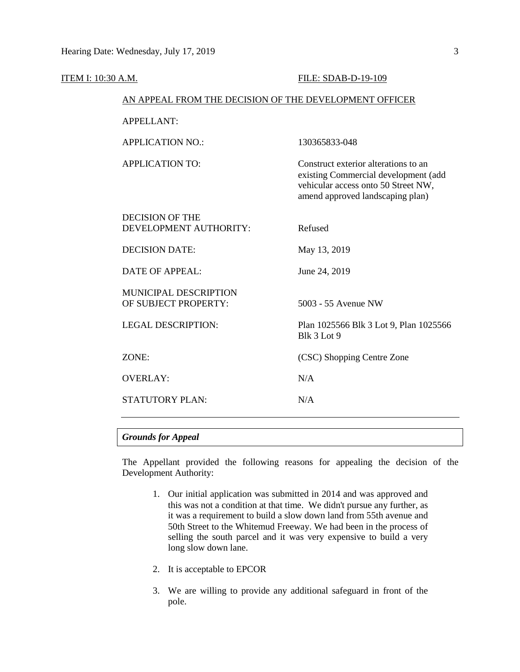| ITEM I: 10:30 A.M. |                                                        | FILE: SDAB-D-19-109                                                                                                                                     |  |  |  |  |  |
|--------------------|--------------------------------------------------------|---------------------------------------------------------------------------------------------------------------------------------------------------------|--|--|--|--|--|
|                    | AN APPEAL FROM THE DECISION OF THE DEVELOPMENT OFFICER |                                                                                                                                                         |  |  |  |  |  |
|                    | <b>APPELLANT:</b>                                      |                                                                                                                                                         |  |  |  |  |  |
|                    | <b>APPLICATION NO.:</b>                                | 130365833-048                                                                                                                                           |  |  |  |  |  |
|                    | <b>APPLICATION TO:</b>                                 | Construct exterior alterations to an<br>existing Commercial development (add<br>vehicular access onto 50 Street NW,<br>amend approved landscaping plan) |  |  |  |  |  |
|                    | <b>DECISION OF THE</b><br>DEVELOPMENT AUTHORITY:       | Refused                                                                                                                                                 |  |  |  |  |  |
|                    | <b>DECISION DATE:</b>                                  | May 13, 2019                                                                                                                                            |  |  |  |  |  |
|                    | <b>DATE OF APPEAL:</b>                                 | June 24, 2019                                                                                                                                           |  |  |  |  |  |
|                    | MUNICIPAL DESCRIPTION<br>OF SUBJECT PROPERTY:          | 5003 - 55 Avenue NW                                                                                                                                     |  |  |  |  |  |
|                    | <b>LEGAL DESCRIPTION:</b>                              | Plan 1025566 Blk 3 Lot 9, Plan 1025566<br>Blk 3 Lot 9                                                                                                   |  |  |  |  |  |
|                    | ZONE:                                                  | (CSC) Shopping Centre Zone                                                                                                                              |  |  |  |  |  |
|                    | <b>OVERLAY:</b>                                        | N/A                                                                                                                                                     |  |  |  |  |  |
|                    | <b>STATUTORY PLAN:</b>                                 | N/A                                                                                                                                                     |  |  |  |  |  |
|                    |                                                        |                                                                                                                                                         |  |  |  |  |  |

#### *Grounds for Appeal*

The Appellant provided the following reasons for appealing the decision of the Development Authority:

- 1. Our initial application was submitted in 2014 and was approved and this was not a condition at that time. We didn't pursue any further, as it was a requirement to build a slow down land from 55th avenue and 50th Street to the Whitemud Freeway. We had been in the process of selling the south parcel and it was very expensive to build a very long slow down lane.
- 2. It is acceptable to EPCOR
- 3. We are willing to provide any additional safeguard in front of the pole.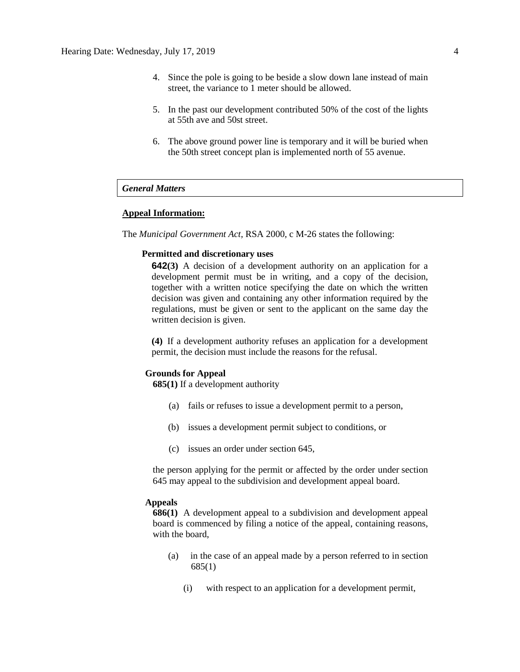- 4. Since the pole is going to be beside a slow down lane instead of main street, the variance to 1 meter should be allowed.
- 5. In the past our development contributed 50% of the cost of the lights at 55th ave and 50st street.
- 6. The above ground power line is temporary and it will be buried when the 50th street concept plan is implemented north of 55 avenue.

#### *General Matters*

#### **Appeal Information:**

The *Municipal Government Act*, RSA 2000, c M-26 states the following:

#### **Permitted and discretionary uses**

**642(3)** A decision of a development authority on an application for a development permit must be in writing, and a copy of the decision, together with a written notice specifying the date on which the written decision was given and containing any other information required by the regulations, must be given or sent to the applicant on the same day the written decision is given.

**(4)** If a development authority refuses an application for a development permit, the decision must include the reasons for the refusal.

#### **Grounds for Appeal**

**685(1)** If a development authority

- (a) fails or refuses to issue a development permit to a person,
- (b) issues a development permit subject to conditions, or
- (c) issues an order under section 645,

the person applying for the permit or affected by the order under section 645 may appeal to the subdivision and development appeal board.

#### **Appeals**

**686(1)** A development appeal to a subdivision and development appeal board is commenced by filing a notice of the appeal, containing reasons, with the board,

- (a) in the case of an appeal made by a person referred to in section 685(1)
	- (i) with respect to an application for a development permit,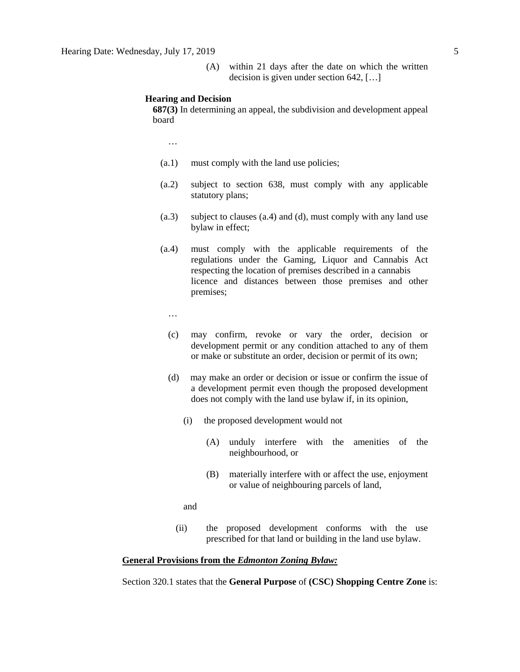(A) within 21 days after the date on which the written decision is given under section 642, […]

#### **Hearing and Decision**

**687(3)** In determining an appeal, the subdivision and development appeal board

…

- (a.1) must comply with the land use policies;
- (a.2) subject to section 638, must comply with any applicable statutory plans;
- (a.3) subject to clauses (a.4) and (d), must comply with any land use bylaw in effect;
- (a.4) must comply with the applicable requirements of the regulations under the Gaming, Liquor and Cannabis Act respecting the location of premises described in a cannabis licence and distances between those premises and other premises;

…

- (c) may confirm, revoke or vary the order, decision or development permit or any condition attached to any of them or make or substitute an order, decision or permit of its own;
- (d) may make an order or decision or issue or confirm the issue of a development permit even though the proposed development does not comply with the land use bylaw if, in its opinion,
	- (i) the proposed development would not
		- (A) unduly interfere with the amenities of the neighbourhood, or
		- (B) materially interfere with or affect the use, enjoyment or value of neighbouring parcels of land,

and

(ii) the proposed development conforms with the use prescribed for that land or building in the land use bylaw.

#### **General Provisions from the** *Edmonton Zoning Bylaw:*

Section 320.1 states that the **General Purpose** of **(CSC) Shopping Centre Zone** is: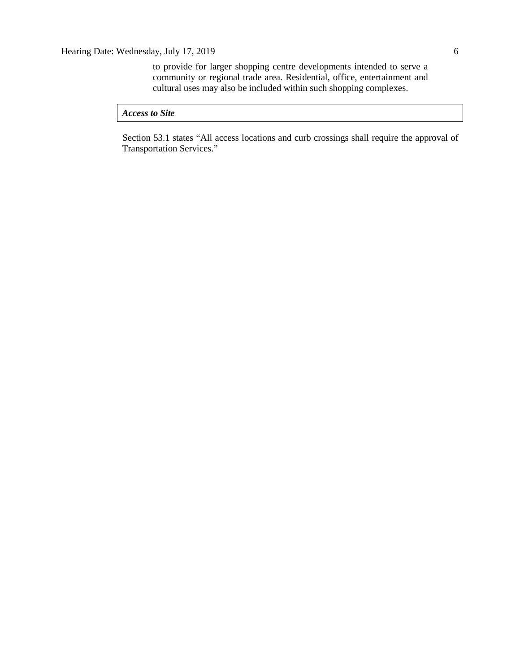to provide for larger shopping centre developments intended to serve a community or regional trade area. Residential, office, entertainment and cultural uses may also be included within such shopping complexes.

*Access to Site*

Section 53.1 states "All access locations and curb crossings shall require the approval of Transportation Services."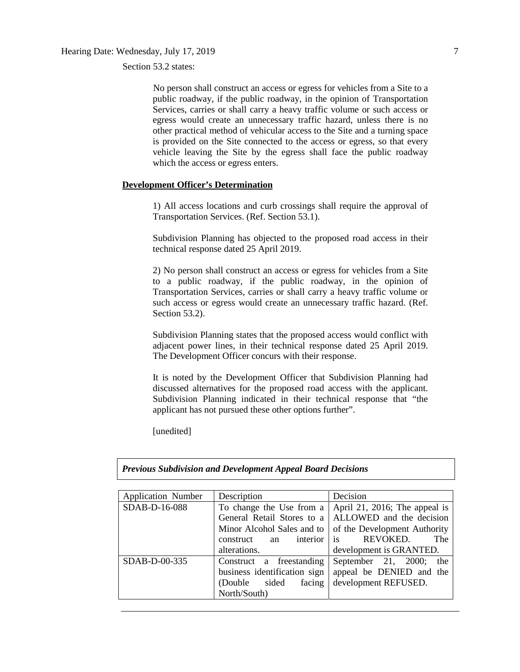Section 53.2 states:

No person shall construct an access or egress for vehicles from a Site to a public roadway, if the public roadway, in the opinion of Transportation Services, carries or shall carry a heavy traffic volume or such access or egress would create an unnecessary traffic hazard, unless there is no other practical method of vehicular access to the Site and a turning space is provided on the Site connected to the access or egress, so that every vehicle leaving the Site by the egress shall face the public roadway which the access or egress enters.

#### **Development Officer's Determination**

1) All access locations and curb crossings shall require the approval of Transportation Services. (Ref. Section 53.1).

Subdivision Planning has objected to the proposed road access in their technical response dated 25 April 2019.

2) No person shall construct an access or egress for vehicles from a Site to a public roadway, if the public roadway, in the opinion of Transportation Services, carries or shall carry a heavy traffic volume or such access or egress would create an unnecessary traffic hazard. (Ref. Section 53.2).

Subdivision Planning states that the proposed access would conflict with adjacent power lines, in their technical response dated 25 April 2019. The Development Officer concurs with their response.

It is noted by the Development Officer that Subdivision Planning had discussed alternatives for the proposed road access with the applicant. Subdivision Planning indicated in their technical response that "the applicant has not pursued these other options further".

[unedited]

*Previous Subdivision and Development Appeal Board Decisions*

| <b>Application Number</b> | Description                 | Decision                      |  |  |
|---------------------------|-----------------------------|-------------------------------|--|--|
| SDAB-D-16-088             | To change the Use from a    | April 21, 2016; The appeal is |  |  |
|                           | General Retail Stores to a  | ALLOWED and the decision      |  |  |
|                           | Minor Alcohol Sales and to  | of the Development Authority  |  |  |
|                           | interior<br>construct<br>an | is<br>REVOKED.<br>The         |  |  |
|                           | alterations.                | development is GRANTED.       |  |  |
| SDAB-D-00-335             | Construct a freestanding    | September 21, 2000;<br>the    |  |  |
|                           | appeal be DENIED and the    |                               |  |  |
|                           | sided<br>facing<br>(Double) | development REFUSED.          |  |  |
|                           | North/South)                |                               |  |  |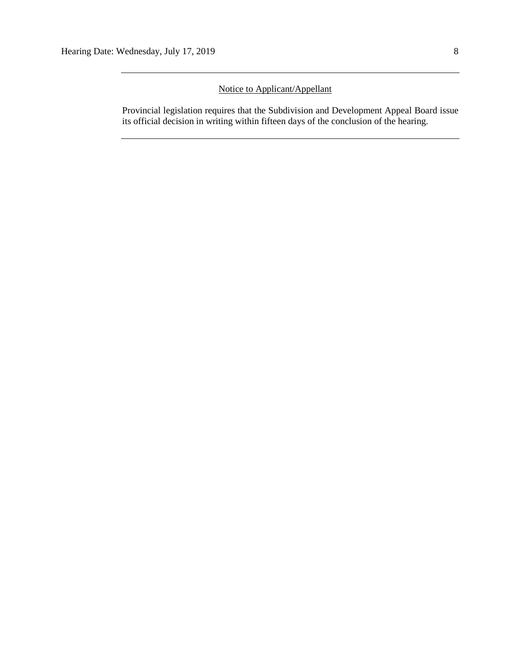### Notice to Applicant/Appellant

Provincial legislation requires that the Subdivision and Development Appeal Board issue its official decision in writing within fifteen days of the conclusion of the hearing.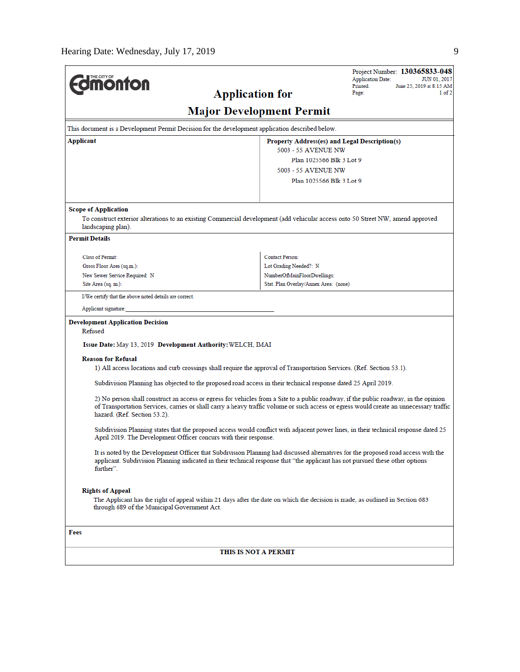|                                                                                                                                                                                                                                                                                                                |                                       | Project Number: 130365833-048<br><b>Application Date:</b><br><b>JUN 01, 2017</b> |  |  |  |  |
|----------------------------------------------------------------------------------------------------------------------------------------------------------------------------------------------------------------------------------------------------------------------------------------------------------------|---------------------------------------|----------------------------------------------------------------------------------|--|--|--|--|
| <b>monton</b>                                                                                                                                                                                                                                                                                                  | <b>Application for</b>                | Printed:<br>June 25, 2019 at 8:15 AM<br>1 of 2<br>Page:                          |  |  |  |  |
|                                                                                                                                                                                                                                                                                                                |                                       |                                                                                  |  |  |  |  |
| <b>Major Development Permit</b>                                                                                                                                                                                                                                                                                |                                       |                                                                                  |  |  |  |  |
| This document is a Development Permit Decision for the development application described below.                                                                                                                                                                                                                |                                       |                                                                                  |  |  |  |  |
| Applicant<br>Property Address(es) and Legal Description(s)<br>5003 - 55 AVENUE NW                                                                                                                                                                                                                              |                                       |                                                                                  |  |  |  |  |
|                                                                                                                                                                                                                                                                                                                |                                       | Plan 1025566 Blk 3 Lot 9                                                         |  |  |  |  |
|                                                                                                                                                                                                                                                                                                                | 5003 - 55 AVENUE NW                   |                                                                                  |  |  |  |  |
|                                                                                                                                                                                                                                                                                                                |                                       | Plan 1025566 Blk 3 Lot 9                                                         |  |  |  |  |
|                                                                                                                                                                                                                                                                                                                |                                       |                                                                                  |  |  |  |  |
| <b>Scope of Application</b>                                                                                                                                                                                                                                                                                    |                                       |                                                                                  |  |  |  |  |
| To construct exterior alterations to an existing Commercial development (add vehicular access onto 50 Street NW, amend approved<br>landscaping plan).                                                                                                                                                          |                                       |                                                                                  |  |  |  |  |
| <b>Permit Details</b>                                                                                                                                                                                                                                                                                          |                                       |                                                                                  |  |  |  |  |
| <b>Class of Permit:</b>                                                                                                                                                                                                                                                                                        | <b>Contact Person:</b>                |                                                                                  |  |  |  |  |
| Gross Floor Area (sq.m.):                                                                                                                                                                                                                                                                                      | Lot Grading Needed?: N                |                                                                                  |  |  |  |  |
| New Sewer Service Required: N                                                                                                                                                                                                                                                                                  | NumberOfMainFloorDwellings:           |                                                                                  |  |  |  |  |
| Site Area (sq. m.):                                                                                                                                                                                                                                                                                            | Stat. Plan Overlay/Annex Area: (none) |                                                                                  |  |  |  |  |
| I/We certify that the above noted details are correct.                                                                                                                                                                                                                                                         |                                       |                                                                                  |  |  |  |  |
| Applicant signature:                                                                                                                                                                                                                                                                                           |                                       |                                                                                  |  |  |  |  |
| <b>Development Application Decision</b>                                                                                                                                                                                                                                                                        |                                       |                                                                                  |  |  |  |  |
| Refused                                                                                                                                                                                                                                                                                                        |                                       |                                                                                  |  |  |  |  |
| Issue Date: May 13, 2019 Development Authority: WELCH, IMAI                                                                                                                                                                                                                                                    |                                       |                                                                                  |  |  |  |  |
| <b>Reason for Refusal</b><br>1) All access locations and curb crossings shall require the approval of Transportation Services. (Ref. Section 53.1).                                                                                                                                                            |                                       |                                                                                  |  |  |  |  |
| Subdivision Planning has objected to the proposed road access in their technical response dated 25 April 2019.                                                                                                                                                                                                 |                                       |                                                                                  |  |  |  |  |
|                                                                                                                                                                                                                                                                                                                |                                       |                                                                                  |  |  |  |  |
| 2) No person shall construct an access or egress for vehicles from a Site to a public roadway, if the public roadway, in the opinion<br>of Transportation Services, carries or shall carry a heavy traffic volume or such access or egress would create an unnecessary traffic<br>hazard. (Ref. Section 53.2). |                                       |                                                                                  |  |  |  |  |
| Subdivision Planning states that the proposed access would conflict with adjacent power lines, in their technical response dated 25<br>April 2019. The Development Officer concurs with their response.                                                                                                        |                                       |                                                                                  |  |  |  |  |
| It is noted by the Development Officer that Subdivision Planning had discussed alternatives for the proposed road access with the<br>applicant. Subdivision Planning indicated in their technical response that "the applicant has not pursued these other options<br>further".                                |                                       |                                                                                  |  |  |  |  |
| <b>Rights of Appeal</b><br>The Applicant has the right of appeal within 21 days after the date on which the decision is made, as outlined in Section 683<br>through 689 of the Municipal Government Act.                                                                                                       |                                       |                                                                                  |  |  |  |  |
|                                                                                                                                                                                                                                                                                                                |                                       |                                                                                  |  |  |  |  |
| Fees                                                                                                                                                                                                                                                                                                           |                                       |                                                                                  |  |  |  |  |
| THIS IS NOT A PERMIT                                                                                                                                                                                                                                                                                           |                                       |                                                                                  |  |  |  |  |
|                                                                                                                                                                                                                                                                                                                |                                       |                                                                                  |  |  |  |  |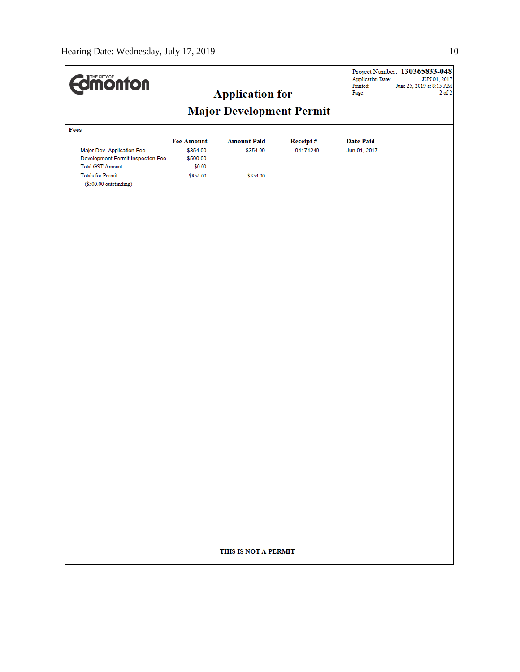| <b>Major Development Permit</b><br>Fees<br><b>Fee Amount</b><br><b>Amount Paid</b><br>Receipt#<br><b>Date Paid</b><br>Major Dev. Application Fee<br>\$354.00<br>\$354.00<br>04171240<br>Jun 01, 2017<br>Development Permit Inspection Fee<br>\$500.00<br>Total GST Amount:<br>\$0.00<br>Totals for Permit:<br>\$854.00<br>\$354.00<br>(\$500.00 outstanding) | <b>Edinonton</b> |  | <b>Application for</b> |  | <b>Application Date:</b><br>Printed:<br>Page: | Project Number: 130365833-048<br>JUN 01, 2017<br>June 25, 2019 at 8:15 AM<br>$2$ of $2$ |  |  |
|--------------------------------------------------------------------------------------------------------------------------------------------------------------------------------------------------------------------------------------------------------------------------------------------------------------------------------------------------------------|------------------|--|------------------------|--|-----------------------------------------------|-----------------------------------------------------------------------------------------|--|--|
|                                                                                                                                                                                                                                                                                                                                                              |                  |  |                        |  |                                               |                                                                                         |  |  |
|                                                                                                                                                                                                                                                                                                                                                              |                  |  |                        |  |                                               |                                                                                         |  |  |
|                                                                                                                                                                                                                                                                                                                                                              |                  |  |                        |  |                                               |                                                                                         |  |  |
|                                                                                                                                                                                                                                                                                                                                                              |                  |  |                        |  |                                               |                                                                                         |  |  |
|                                                                                                                                                                                                                                                                                                                                                              |                  |  |                        |  |                                               |                                                                                         |  |  |
|                                                                                                                                                                                                                                                                                                                                                              |                  |  |                        |  |                                               |                                                                                         |  |  |
|                                                                                                                                                                                                                                                                                                                                                              |                  |  |                        |  |                                               |                                                                                         |  |  |
|                                                                                                                                                                                                                                                                                                                                                              |                  |  |                        |  |                                               |                                                                                         |  |  |
|                                                                                                                                                                                                                                                                                                                                                              |                  |  |                        |  |                                               |                                                                                         |  |  |
|                                                                                                                                                                                                                                                                                                                                                              |                  |  |                        |  |                                               |                                                                                         |  |  |
|                                                                                                                                                                                                                                                                                                                                                              |                  |  |                        |  |                                               |                                                                                         |  |  |
|                                                                                                                                                                                                                                                                                                                                                              |                  |  |                        |  |                                               |                                                                                         |  |  |
|                                                                                                                                                                                                                                                                                                                                                              |                  |  |                        |  |                                               |                                                                                         |  |  |
|                                                                                                                                                                                                                                                                                                                                                              |                  |  |                        |  |                                               |                                                                                         |  |  |
|                                                                                                                                                                                                                                                                                                                                                              |                  |  |                        |  |                                               |                                                                                         |  |  |
| THIS IS NOT A PERMIT                                                                                                                                                                                                                                                                                                                                         |                  |  |                        |  |                                               |                                                                                         |  |  |